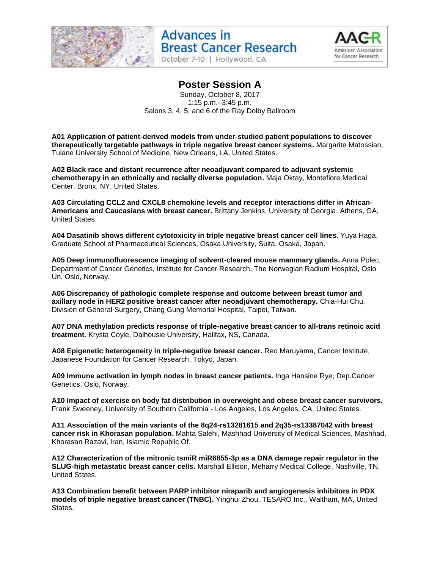

October 7-10 | Hollywood, CA



### **Poster Session A**

Sunday, October 8, 2017 1:15 p.m.–3:45 p.m. Salons 3, 4, 5, and 6 of the Ray Dolby Ballroom

**A01 Application of patient-derived models from under-studied patient populations to discover therapeutically targetable pathways in triple negative breast cancer systems.** Margarite Matossian, Tulane University School of Medicine, New Orleans, LA, United States.

**A02 Black race and distant recurrence after neoadjuvant compared to adjuvant systemic chemotherapy in an ethnically and racially diverse population.** Maja Oktay, Montefiore Medical Center, Bronx, NY, United States.

**A03 Circulating CCL2 and CXCL8 chemokine levels and receptor interactions differ in African-Americans and Caucasians with breast cancer.** Brittany Jenkins, University of Georgia, Athens, GA, United States.

**A04 Dasatinib shows different cytotoxicity in triple negative breast cancer cell lines.** Yuya Haga, Graduate School of Pharmaceutical Sciences, Osaka University, Suita, Osaka, Japan.

**A05 Deep immunofluorescence imaging of solvent-cleared mouse mammary glands.** Anna Polec, Department of Cancer Genetics, Institute for Cancer Research, The Norwegian Radium Hospital, Oslo Un, Oslo, Norway.

**A06 Discrepancy of pathologic complete response and outcome between breast tumor and axillary node in HER2 positive breast cancer after neoadjuvant chemotherapy.** Chia-Hui Chu, Division of General Surgery, Chang Gung Memorial Hospital, Taipei, Taiwan.

**A07 DNA methylation predicts response of triple-negative breast cancer to all-trans retinoic acid treatment.** Krysta Coyle, Dalhousie University, Halifax, NS, Canada.

**A08 Epigenetic heterogeneity in triple-negative breast cancer.** Reo Maruyama, Cancer Institute, Japanese Foundation for Cancer Research, Tokyo, Japan.

**A09 Immune activation in lymph nodes in breast cancer patients.** Inga Hansine Rye, Dep.Cancer Genetics, Oslo, Norway.

**A10 Impact of exercise on body fat distribution in overweight and obese breast cancer survivors.**  Frank Sweeney, University of Southern California - Los Angeles, Los Angeles, CA, United States.

**A11 Association of the main variants of the 8q24-rs13281615 and 2q35-rs13387042 with breast cancer risk in Khorasan population.** Mahta Salehi, Mashhad University of Medical Sciences, Mashhad, Khorasan Razavi, Iran, Islamic Republic Of.

**A12 Characterization of the mitronic tsmiR miR6855-3p as a DNA damage repair regulator in the SLUG-high metastatic breast cancer cells.** Marshall Ellison, Meharry Medical College, Nashville, TN, United States.

**A13 Combination benefit between PARP inhibitor niraparib and angiogenesis inhibitors in PDX models of triple negative breast cancer (TNBC).** Yinghui Zhou, TESARO Inc., Waltham, MA, United States.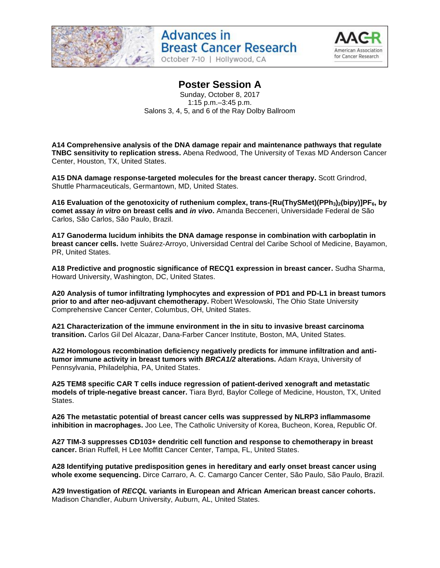

October 7-10 | Hollywood, CA



#### **Poster Session A**

Sunday, October 8, 2017 1:15 p.m.–3:45 p.m. Salons 3, 4, 5, and 6 of the Ray Dolby Ballroom

**A14 Comprehensive analysis of the DNA damage repair and maintenance pathways that regulate TNBC sensitivity to replication stress.** Abena Redwood, The University of Texas MD Anderson Cancer Center, Houston, TX, United States.

**A15 DNA damage response-targeted molecules for the breast cancer therapy.** Scott Grindrod, Shuttle Pharmaceuticals, Germantown, MD, United States.

**A16 Evaluation of the genotoxicity of ruthenium complex, trans-[Ru(ThySMet)(PPh3)2(bipy)]PF6, by comet assay** *in vitro* **on breast cells and** *in vivo***.** Amanda Becceneri, Universidade Federal de São Carlos, São Carlos, São Paulo, Brazil.

**A17 Ganoderma lucidum inhibits the DNA damage response in combination with carboplatin in breast cancer cells.** Ivette Suárez-Arroyo, Universidad Central del Caribe School of Medicine, Bayamon, PR, United States.

**A18 Predictive and prognostic significance of RECQ1 expression in breast cancer.** Sudha Sharma, Howard University, Washington, DC, United States.

**A20 Analysis of tumor infiltrating lymphocytes and expression of PD1 and PD-L1 in breast tumors prior to and after neo-adjuvant chemotherapy.** Robert Wesolowski, The Ohio State University Comprehensive Cancer Center, Columbus, OH, United States.

**A21 Characterization of the immune environment in the in situ to invasive breast carcinoma transition.** Carlos Gil Del Alcazar, Dana-Farber Cancer Institute, Boston, MA, United States.

**A22 Homologous recombination deficiency negatively predicts for immune infiltration and antitumor immune activity in breast tumors with** *BRCA1/2* **alterations.** Adam Kraya, University of Pennsylvania, Philadelphia, PA, United States.

**A25 TEM8 specific CAR T cells induce regression of patient-derived xenograft and metastatic models of triple-negative breast cancer.** Tiara Byrd, Baylor College of Medicine, Houston, TX, United States.

**A26 The metastatic potential of breast cancer cells was suppressed by NLRP3 inflammasome inhibition in macrophages.** Joo Lee, The Catholic University of Korea, Bucheon, Korea, Republic Of.

**A27 TIM-3 suppresses CD103+ dendritic cell function and response to chemotherapy in breast cancer.** Brian Ruffell, H Lee Moffitt Cancer Center, Tampa, FL, United States.

**A28 Identifying putative predisposition genes in hereditary and early onset breast cancer using whole exome sequencing.** Dirce Carraro, A. C. Camargo Cancer Center, São Paulo, São Paulo, Brazil.

**A29 Investigation of** *RECQL* **variants in European and African American breast cancer cohorts.**  Madison Chandler, Auburn University, Auburn, AL, United States.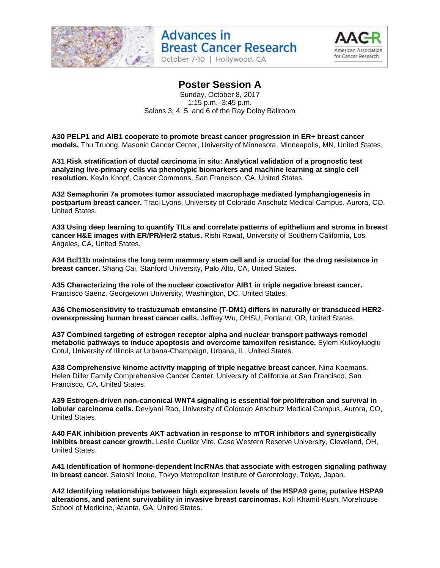

October 7-10 | Hollywood, CA



### **Poster Session A**

Sunday, October 8, 2017 1:15 p.m.–3:45 p.m. Salons 3, 4, 5, and 6 of the Ray Dolby Ballroom

**A30 PELP1 and AIB1 cooperate to promote breast cancer progression in ER+ breast cancer models.** Thu Truong, Masonic Cancer Center, University of Minnesota, Minneapolis, MN, United States.

**A31 Risk stratification of ductal carcinoma in situ: Analytical validation of a prognostic test analyzing live-primary cells via phenotypic biomarkers and machine learning at single cell resolution.** Kevin Knopf, Cancer Commons, San Francisco, CA, United States.

**A32 Semaphorin 7a promotes tumor associated macrophage mediated lymphangiogenesis in postpartum breast cancer.** Traci Lyons, University of Colorado Anschutz Medical Campus, Aurora, CO, United States.

**A33 Using deep learning to quantify TILs and correlate patterns of epithelium and stroma in breast cancer H&E images with ER/PR/Her2 status.** Rishi Rawat, University of Southern California, Los Angeles, CA, United States.

**A34 Bcl11b maintains the long term mammary stem cell and is crucial for the drug resistance in breast cancer.** Shang Cai, Stanford University, Palo Alto, CA, United States.

**A35 Characterizing the role of the nuclear coactivator AIB1 in triple negative breast cancer.**  Francisco Saenz, Georgetown University, Washington, DC, United States.

**A36 Chemosensitivity to trastuzumab emtansine (T-DM1) differs in naturally or transduced HER2 overexpressing human breast cancer cells.** Jeffrey Wu, OHSU, Portland, OR, United States.

**A37 Combined targeting of estrogen receptor alpha and nuclear transport pathways remodel metabolic pathways to induce apoptosis and overcome tamoxifen resistance.** Eylem Kulkoyluoglu Cotul, University of Illinois at Urbana-Champaign, Urbana, IL, United States.

**A38 Comprehensive kinome activity mapping of triple negative breast cancer.** Nina Koemans, Helen Diller Family Comprehensive Cancer Center, University of California at San Francisco, San Francisco, CA, United States.

**A39 Estrogen-driven non-canonical WNT4 signaling is essential for proliferation and survival in lobular carcinoma cells.** Deviyani Rao, University of Colorado Anschutz Medical Campus, Aurora, CO, United States.

**A40 FAK inhibition prevents AKT activation in response to mTOR inhibitors and synergistically inhibits breast cancer growth.** Leslie Cuellar Vite, Case Western Reserve University, Cleveland, OH, United States.

**A41 Identification of hormone-dependent lncRNAs that associate with estrogen signaling pathway in breast cancer.** Satoshi Inoue, Tokyo Metropolitan Institute of Gerontology, Tokyo, Japan.

**A42 Identifying relationships between high expression levels of the HSPA9 gene, putative HSPA9 alterations, and patient survivability in invasive breast carcinomas.** Kofi Khamit-Kush, Morehouse School of Medicine, Atlanta, GA, United States.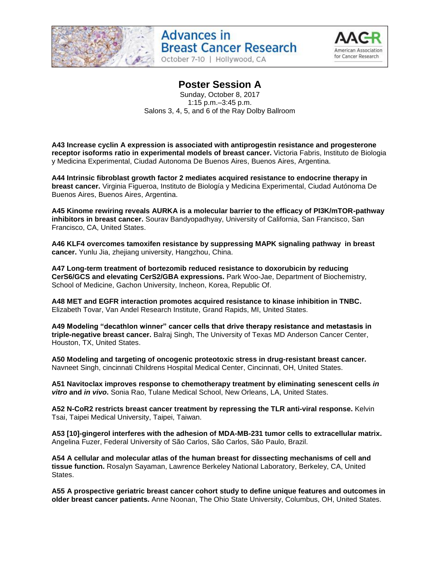

October 7-10 | Hollywood, CA



### **Poster Session A**

Sunday, October 8, 2017 1:15 p.m.–3:45 p.m. Salons 3, 4, 5, and 6 of the Ray Dolby Ballroom

**A43 Increase cyclin A expression is associated with antiprogestin resistance and progesterone receptor isoforms ratio in experimental models of breast cancer.** Victoria Fabris, Instituto de Biologia y Medicina Experimental, Ciudad Autonoma De Buenos Aires, Buenos Aires, Argentina.

**A44 Intrinsic fibroblast growth factor 2 mediates acquired resistance to endocrine therapy in breast cancer.** Virginia Figueroa, Instituto de Biología y Medicina Experimental, Ciudad Autónoma De Buenos Aires, Buenos Aires, Argentina.

**A45 Kinome rewiring reveals AURKA is a molecular barrier to the efficacy of PI3K/mTOR-pathway inhibitors in breast cancer.** Sourav Bandyopadhyay, University of California, San Francisco, San Francisco, CA, United States.

**A46 KLF4 overcomes tamoxifen resistance by suppressing MAPK signaling pathway in breast cancer.** Yunlu Jia, zhejiang university, Hangzhou, China.

**A47 Long-term treatment of bortezomib reduced resistance to doxorubicin by reducing CerS6/GCS and elevating CerS2/GBA expressions.** Park Woo-Jae, Department of Biochemistry, School of Medicine, Gachon University, Incheon, Korea, Republic Of.

**A48 MET and EGFR interaction promotes acquired resistance to kinase inhibition in TNBC.**  Elizabeth Tovar, Van Andel Research Institute, Grand Rapids, MI, United States.

**A49 Modeling "decathlon winner" cancer cells that drive therapy resistance and metastasis in triple-negative breast cancer.** Balraj Singh, The University of Texas MD Anderson Cancer Center, Houston, TX, United States.

**A50 Modeling and targeting of oncogenic proteotoxic stress in drug-resistant breast cancer.**  Navneet Singh, cincinnati Childrens Hospital Medical Center, Cincinnati, OH, United States.

**A51 Navitoclax improves response to chemotherapy treatment by eliminating senescent cells** *in vitro* **and** *in vivo***.** Sonia Rao, Tulane Medical School, New Orleans, LA, United States.

**A52 N-CoR2 restricts breast cancer treatment by repressing the TLR anti-viral response.** Kelvin Tsai, Taipei Medical University, Taipei, Taiwan.

**A53 [10]-gingerol interferes with the adhesion of MDA-MB-231 tumor cells to extracellular matrix.**  Angelina Fuzer, Federal University of São Carlos, São Carlos, São Paulo, Brazil.

**A54 A cellular and molecular atlas of the human breast for dissecting mechanisms of cell and tissue function.** Rosalyn Sayaman, Lawrence Berkeley National Laboratory, Berkeley, CA, United States.

**A55 A prospective geriatric breast cancer cohort study to define unique features and outcomes in older breast cancer patients.** Anne Noonan, The Ohio State University, Columbus, OH, United States.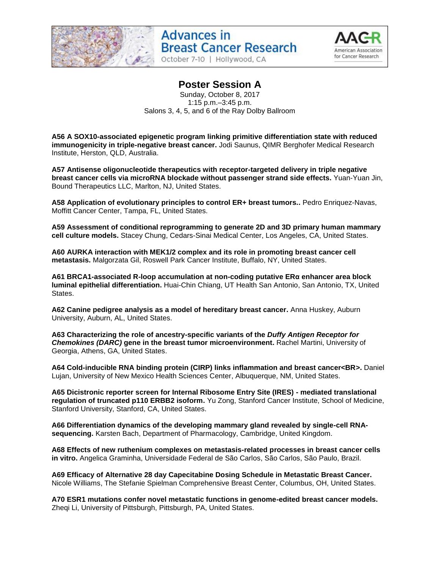



#### **Poster Session A**

Sunday, October 8, 2017 1:15 p.m.–3:45 p.m. Salons 3, 4, 5, and 6 of the Ray Dolby Ballroom

**A56 A SOX10-associated epigenetic program linking primitive differentiation state with reduced immunogenicity in triple-negative breast cancer.** Jodi Saunus, QIMR Berghofer Medical Research Institute, Herston, QLD, Australia.

**A57 Antisense oligonucleotide therapeutics with receptor-targeted delivery in triple negative breast cancer cells via microRNA blockade without passenger strand side effects.** Yuan-Yuan Jin, Bound Therapeutics LLC, Marlton, NJ, United States.

**A58 Application of evolutionary principles to control ER+ breast tumors..** Pedro Enriquez-Navas, Moffitt Cancer Center, Tampa, FL, United States.

**A59 Assessment of conditional reprogramming to generate 2D and 3D primary human mammary cell culture models.** Stacey Chung, Cedars-Sinai Medical Center, Los Angeles, CA, United States.

**A60 AURKA interaction with MEK1/2 complex and its role in promoting breast cancer cell metastasis.** Malgorzata Gil, Roswell Park Cancer Institute, Buffalo, NY, United States.

**A61 BRCA1-associated R-loop accumulation at non-coding putative ERα enhancer area block luminal epithelial differentiation.** Huai-Chin Chiang, UT Health San Antonio, San Antonio, TX, United States.

**A62 Canine pedigree analysis as a model of hereditary breast cancer.** Anna Huskey, Auburn University, Auburn, AL, United States.

**A63 Characterizing the role of ancestry-specific variants of the** *Duffy Antigen Receptor for Chemokines (DARC)* **gene in the breast tumor microenvironment.** Rachel Martini, University of Georgia, Athens, GA, United States.

**A64 Cold-inducible RNA binding protein (CIRP) links inflammation and breast cancer<BR>.** Daniel Lujan, University of New Mexico Health Sciences Center, Albuquerque, NM, United States.

**A65 Dicistronic reporter screen for Internal Ribosome Entry Site (IRES) - mediated translational regulation of truncated p110 ERBB2 isoform.** Yu Zong, Stanford Cancer Institute, School of Medicine, Stanford University, Stanford, CA, United States.

**A66 Differentiation dynamics of the developing mammary gland revealed by single-cell RNAsequencing.** Karsten Bach, Department of Pharmacology, Cambridge, United Kingdom.

**A68 Effects of new ruthenium complexes on metastasis-related processes in breast cancer cells in vitro.** Angelica Graminha, Universidade Federal de São Carlos, São Carlos, São Paulo, Brazil.

**A69 Efficacy of Alternative 28 day Capecitabine Dosing Schedule in Metastatic Breast Cancer.**  Nicole Williams, The Stefanie Spielman Comprehensive Breast Center, Columbus, OH, United States.

**A70 ESR1 mutations confer novel metastatic functions in genome-edited breast cancer models.**  Zheqi Li, University of Pittsburgh, Pittsburgh, PA, United States.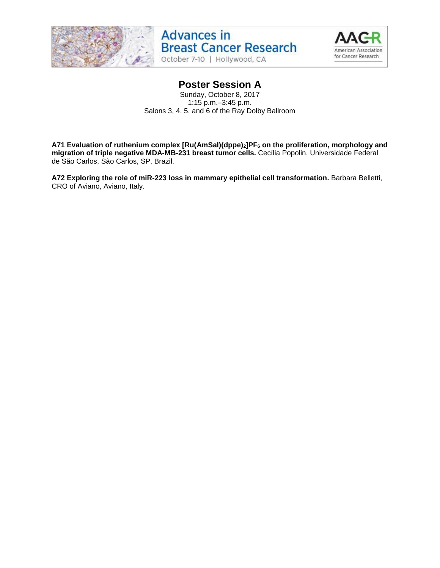



### **Poster Session A**

Sunday, October 8, 2017 1:15 p.m.–3:45 p.m. Salons 3, 4, 5, and 6 of the Ray Dolby Ballroom

**A71 Evaluation of ruthenium complex [Ru(AmSal)(dppe)2]PF<sup>6</sup> on the proliferation, morphology and migration of triple negative MDA-MB-231 breast tumor cells.** Cecília Popolin, Universidade Federal de São Carlos, São Carlos, SP, Brazil.

**A72 Exploring the role of miR-223 loss in mammary epithelial cell transformation.** Barbara Belletti, CRO of Aviano, Aviano, Italy.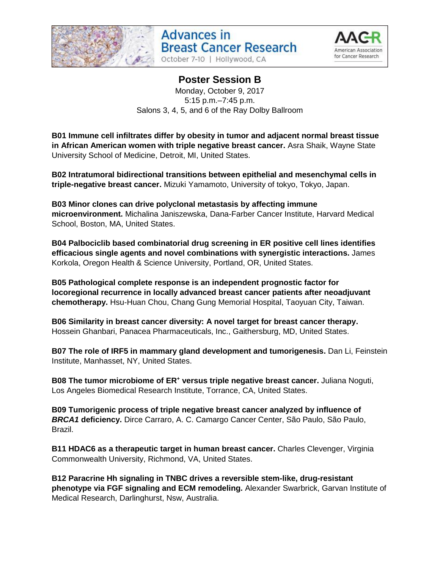



## **Poster Session B**

Monday, October 9, 2017 5:15 p.m.–7:45 p.m. Salons 3, 4, 5, and 6 of the Ray Dolby Ballroom

**B01 Immune cell infiltrates differ by obesity in tumor and adjacent normal breast tissue in African American women with triple negative breast cancer.** Asra Shaik, Wayne State University School of Medicine, Detroit, MI, United States.

**B02 Intratumoral bidirectional transitions between epithelial and mesenchymal cells in triple-negative breast cancer.** Mizuki Yamamoto, University of tokyo, Tokyo, Japan.

**B03 Minor clones can drive polyclonal metastasis by affecting immune microenvironment.** Michalina Janiszewska, Dana-Farber Cancer Institute, Harvard Medical School, Boston, MA, United States.

**B04 Palbociclib based combinatorial drug screening in ER positive cell lines identifies efficacious single agents and novel combinations with synergistic interactions.** James Korkola, Oregon Health & Science University, Portland, OR, United States.

**B05 Pathological complete response is an independent prognostic factor for locoregional recurrence in locally advanced breast cancer patients after neoadjuvant chemotherapy.** Hsu-Huan Chou, Chang Gung Memorial Hospital, Taoyuan City, Taiwan.

**B06 Similarity in breast cancer diversity: A novel target for breast cancer therapy.**  Hossein Ghanbari, Panacea Pharmaceuticals, Inc., Gaithersburg, MD, United States.

**B07 The role of IRF5 in mammary gland development and tumorigenesis.** Dan Li, Feinstein Institute, Manhasset, NY, United States.

**B08 The tumor microbiome of ER<sup>+</sup> versus triple negative breast cancer.** Juliana Noguti, Los Angeles Biomedical Research Institute, Torrance, CA, United States.

**B09 Tumorigenic process of triple negative breast cancer analyzed by influence of**  *BRCA1* **deficiency.** Dirce Carraro, A. C. Camargo Cancer Center, São Paulo, São Paulo, Brazil.

**B11 HDAC6 as a therapeutic target in human breast cancer.** Charles Clevenger, Virginia Commonwealth University, Richmond, VA, United States.

**B12 Paracrine Hh signaling in TNBC drives a reversible stem-like, drug-resistant phenotype via FGF signaling and ECM remodeling.** Alexander Swarbrick, Garvan Institute of Medical Research, Darlinghurst, Nsw, Australia.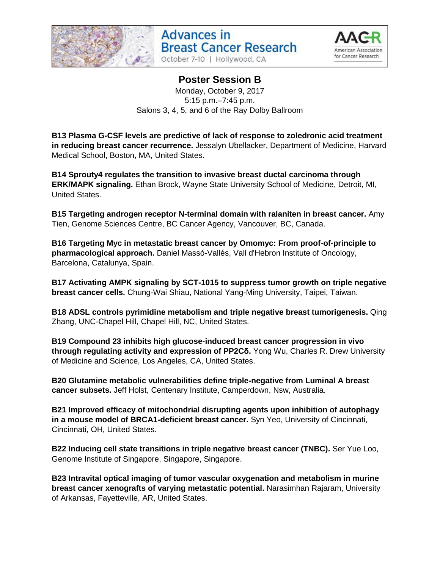





#### **Poster Session B** Monday, October 9, 2017

5:15 p.m.–7:45 p.m. Salons 3, 4, 5, and 6 of the Ray Dolby Ballroom

**B13 Plasma G-CSF levels are predictive of lack of response to zoledronic acid treatment in reducing breast cancer recurrence.** Jessalyn Ubellacker, Department of Medicine, Harvard Medical School, Boston, MA, United States.

**B14 Sprouty4 regulates the transition to invasive breast ductal carcinoma through ERK/MAPK signaling.** Ethan Brock, Wayne State University School of Medicine, Detroit, MI, United States.

**B15 Targeting androgen receptor N-terminal domain with ralaniten in breast cancer.** Amy Tien, Genome Sciences Centre, BC Cancer Agency, Vancouver, BC, Canada.

**B16 Targeting Myc in metastatic breast cancer by Omomyc: From proof-of-principle to pharmacological approach.** Daniel Massó-Vallés, Vall d'Hebron Institute of Oncology, Barcelona, Catalunya, Spain.

**B17 Activating AMPK signaling by SCT-1015 to suppress tumor growth on triple negative breast cancer cells.** Chung-Wai Shiau, National Yang-Ming University, Taipei, Taiwan.

**B18 ADSL controls pyrimidine metabolism and triple negative breast tumorigenesis.** Qing Zhang, UNC-Chapel Hill, Chapel Hill, NC, United States.

**B19 Compound 23 inhibits high glucose-induced breast cancer progression in vivo through regulating activity and expression of PP2Cδ.** Yong Wu, Charles R. Drew University of Medicine and Science, Los Angeles, CA, United States.

**B20 Glutamine metabolic vulnerabilities define triple-negative from Luminal A breast cancer subsets.** Jeff Holst, Centenary Institute, Camperdown, Nsw, Australia.

**B21 Improved efficacy of mitochondrial disrupting agents upon inhibition of autophagy in a mouse model of BRCA1-deficient breast cancer.** Syn Yeo, University of Cincinnati, Cincinnati, OH, United States.

**B22 Inducing cell state transitions in triple negative breast cancer (TNBC).** Ser Yue Loo, Genome Institute of Singapore, Singapore, Singapore.

**B23 Intravital optical imaging of tumor vascular oxygenation and metabolism in murine breast cancer xenografts of varying metastatic potential.** Narasimhan Rajaram, University of Arkansas, Fayetteville, AR, United States.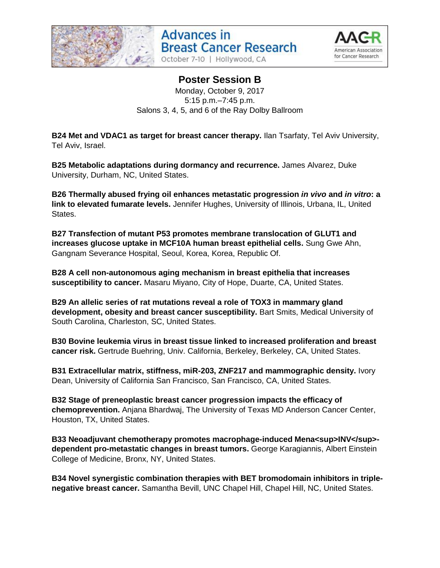





#### **Poster Session B** Monday, October 9, 2017 5:15 p.m.–7:45 p.m. Salons 3, 4, 5, and 6 of the Ray Dolby Ballroom

**B24 Met and VDAC1 as target for breast cancer therapy.** Ilan Tsarfaty, Tel Aviv University, Tel Aviv, Israel.

**B25 Metabolic adaptations during dormancy and recurrence.** James Alvarez, Duke University, Durham, NC, United States.

**B26 Thermally abused frying oil enhances metastatic progression** *in vivo* **and** *in vitro***: a link to elevated fumarate levels.** Jennifer Hughes, University of Illinois, Urbana, IL, United States.

**B27 Transfection of mutant P53 promotes membrane translocation of GLUT1 and increases glucose uptake in MCF10A human breast epithelial cells.** Sung Gwe Ahn, Gangnam Severance Hospital, Seoul, Korea, Korea, Republic Of.

**B28 A cell non-autonomous aging mechanism in breast epithelia that increases susceptibility to cancer.** Masaru Miyano, City of Hope, Duarte, CA, United States.

**B29 An allelic series of rat mutations reveal a role of TOX3 in mammary gland development, obesity and breast cancer susceptibility.** Bart Smits, Medical University of South Carolina, Charleston, SC, United States.

**B30 Bovine leukemia virus in breast tissue linked to increased proliferation and breast cancer risk.** Gertrude Buehring, Univ. California, Berkeley, Berkeley, CA, United States.

**B31 Extracellular matrix, stiffness, miR-203, ZNF217 and mammographic density.** Ivory Dean, University of California San Francisco, San Francisco, CA, United States.

**B32 Stage of preneoplastic breast cancer progression impacts the efficacy of chemoprevention.** Anjana Bhardwaj, The University of Texas MD Anderson Cancer Center, Houston, TX, United States.

**B33 Neoadjuvant chemotherapy promotes macrophage-induced Mena<sup>INV</sup>dependent pro-metastatic changes in breast tumors.** George Karagiannis, Albert Einstein College of Medicine, Bronx, NY, United States.

**B34 Novel synergistic combination therapies with BET bromodomain inhibitors in triplenegative breast cancer.** Samantha Bevill, UNC Chapel Hill, Chapel Hill, NC, United States.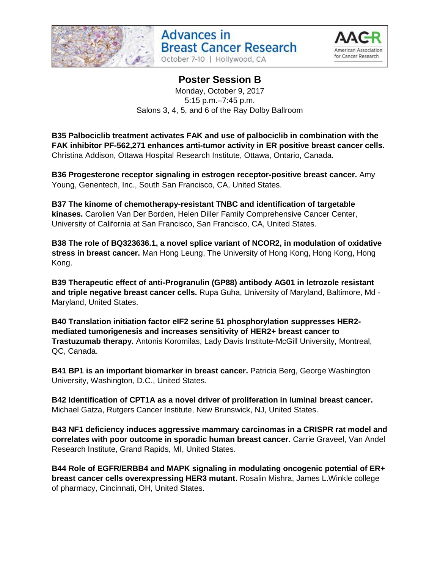



# **Poster Session B**

Monday, October 9, 2017 5:15 p.m.–7:45 p.m. Salons 3, 4, 5, and 6 of the Ray Dolby Ballroom

**B35 Palbociclib treatment activates FAK and use of palbociclib in combination with the FAK inhibitor PF-562,271 enhances anti-tumor activity in ER positive breast cancer cells.**  Christina Addison, Ottawa Hospital Research Institute, Ottawa, Ontario, Canada.

**B36 Progesterone receptor signaling in estrogen receptor-positive breast cancer.** Amy Young, Genentech, Inc., South San Francisco, CA, United States.

**B37 The kinome of chemotherapy-resistant TNBC and identification of targetable kinases.** Carolien Van Der Borden, Helen Diller Family Comprehensive Cancer Center, University of California at San Francisco, San Francisco, CA, United States.

**B38 The role of BQ323636.1, a novel splice variant of NCOR2, in modulation of oxidative stress in breast cancer.** Man Hong Leung, The University of Hong Kong, Hong Kong, Hong Kong.

**B39 Therapeutic effect of anti-Progranulin (GP88) antibody AG01 in letrozole resistant and triple negative breast cancer cells.** Rupa Guha, University of Maryland, Baltimore, Md - Maryland, United States.

**B40 Translation initiation factor eIF2 serine 51 phosphorylation suppresses HER2 mediated tumorigenesis and increases sensitivity of HER2+ breast cancer to Trastuzumab therapy.** Antonis Koromilas, Lady Davis Institute-McGill University, Montreal, QC, Canada.

**B41 BP1 is an important biomarker in breast cancer.** Patricia Berg, George Washington University, Washington, D.C., United States.

**B42 Identification of CPT1A as a novel driver of proliferation in luminal breast cancer.**  Michael Gatza, Rutgers Cancer Institute, New Brunswick, NJ, United States.

**B43 NF1 deficiency induces aggressive mammary carcinomas in a CRISPR rat model and correlates with poor outcome in sporadic human breast cancer.** Carrie Graveel, Van Andel Research Institute, Grand Rapids, MI, United States.

**B44 Role of EGFR/ERBB4 and MAPK signaling in modulating oncogenic potential of ER+ breast cancer cells overexpressing HER3 mutant.** Rosalin Mishra, James L.Winkle college of pharmacy, Cincinnati, OH, United States.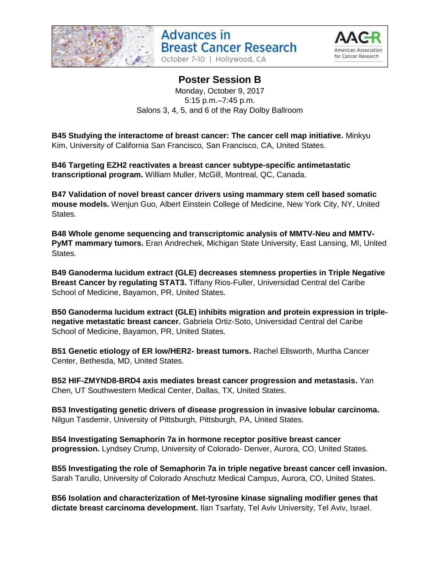





# **Poster Session B**

Monday, October 9, 2017 5:15 p.m.–7:45 p.m. Salons 3, 4, 5, and 6 of the Ray Dolby Ballroom

**B45 Studying the interactome of breast cancer: The cancer cell map initiative.** Minkyu Kim, University of California San Francisco, San Francisco, CA, United States.

**B46 Targeting EZH2 reactivates a breast cancer subtype-specific antimetastatic transcriptional program.** William Muller, McGill, Montreal, QC, Canada.

**B47 Validation of novel breast cancer drivers using mammary stem cell based somatic mouse models.** Wenjun Guo, Albert Einstein College of Medicine, New York City, NY, United States.

**B48 Whole genome sequencing and transcriptomic analysis of MMTV-Neu and MMTV-PyMT mammary tumors.** Eran Andrechek, Michigan State University, East Lansing, MI, United States.

**B49 Ganoderma lucidum extract (GLE) decreases stemness properties in Triple Negative Breast Cancer by regulating STAT3.** Tiffany Rios-Fuller, Universidad Central del Caribe School of Medicine, Bayamon, PR, United States.

**B50 Ganoderma lucidum extract (GLE) inhibits migration and protein expression in triplenegative metastatic breast cancer.** Gabriela Ortiz-Soto, Universidad Central del Caribe School of Medicine, Bayamon, PR, United States.

**B51 Genetic etiology of ER low/HER2- breast tumors.** Rachel Ellsworth, Murtha Cancer Center, Bethesda, MD, United States.

**B52 HIF-ZMYND8-BRD4 axis mediates breast cancer progression and metastasis.** Yan Chen, UT Southwestern Medical Center, Dallas, TX, United States.

**B53 Investigating genetic drivers of disease progression in invasive lobular carcinoma.**  Nilgun Tasdemir, University of Pittsburgh, Pittsburgh, PA, United States.

**B54 Investigating Semaphorin 7a in hormone receptor positive breast cancer progression.** Lyndsey Crump, University of Colorado- Denver, Aurora, CO, United States.

**B55 Investigating the role of Semaphorin 7a in triple negative breast cancer cell invasion.**  Sarah Tarullo, University of Colorado Anschutz Medical Campus, Aurora, CO, United States.

**B56 Isolation and characterization of Met-tyrosine kinase signaling modifier genes that dictate breast carcinoma development.** Ilan Tsarfaty, Tel Aviv University, Tel Aviv, Israel.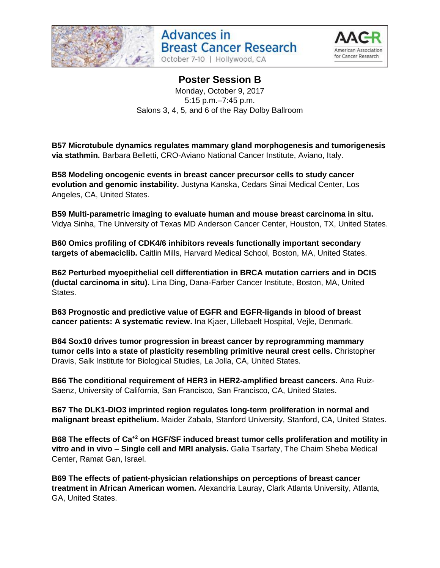





## **Poster Session B**

Monday, October 9, 2017 5:15 p.m.–7:45 p.m. Salons 3, 4, 5, and 6 of the Ray Dolby Ballroom

**B57 Microtubule dynamics regulates mammary gland morphogenesis and tumorigenesis via stathmin.** Barbara Belletti, CRO-Aviano National Cancer Institute, Aviano, Italy.

**B58 Modeling oncogenic events in breast cancer precursor cells to study cancer evolution and genomic instability.** Justyna Kanska, Cedars Sinai Medical Center, Los Angeles, CA, United States.

**B59 Multi-parametric imaging to evaluate human and mouse breast carcinoma in situ.**  Vidya Sinha, The University of Texas MD Anderson Cancer Center, Houston, TX, United States.

**B60 Omics profiling of CDK4/6 inhibitors reveals functionally important secondary targets of abemaciclib.** Caitlin Mills, Harvard Medical School, Boston, MA, United States.

**B62 Perturbed myoepithelial cell differentiation in BRCA mutation carriers and in DCIS (ductal carcinoma in situ).** Lina Ding, Dana-Farber Cancer Institute, Boston, MA, United States.

**B63 Prognostic and predictive value of EGFR and EGFR-ligands in blood of breast cancer patients: A systematic review.** Ina Kjaer, Lillebaelt Hospital, Vejle, Denmark.

**B64 Sox10 drives tumor progression in breast cancer by reprogramming mammary tumor cells into a state of plasticity resembling primitive neural crest cells.** Christopher Dravis, Salk Institute for Biological Studies, La Jolla, CA, United States.

**B66 The conditional requirement of HER3 in HER2-amplified breast cancers.** Ana Ruiz-Saenz, University of California, San Francisco, San Francisco, CA, United States.

**B67 The DLK1-DIO3 imprinted region regulates long-term proliferation in normal and malignant breast epithelium.** Maider Zabala, Stanford University, Stanford, CA, United States.

**B68 The effects of Ca+2 on HGF/SF induced breast tumor cells proliferation and motility in vitro and in vivo – Single cell and MRI analysis.** Galia Tsarfaty, The Chaim Sheba Medical Center, Ramat Gan, Israel.

**B69 The effects of patient-physician relationships on perceptions of breast cancer treatment in African American women.** Alexandria Lauray, Clark Atlanta University, Atlanta, GA, United States.